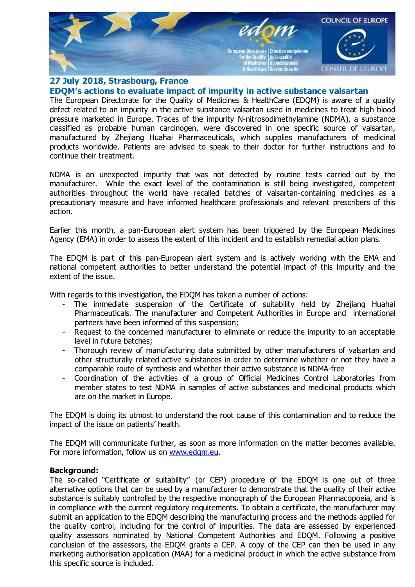

## 27 July 2018, Strasbourg, France EDQM's actions to evaluate impact of impurity in active substance valsartan

The European Directorate for the Quality of Medicines & HealthCare (EDQM) is aware of a quality defect related to an impurity in the active substance valsartan used in medicines to treat high blood pressure marketed in Europe. Traces of the impurity N-nitrosodimethylamine (NDMA), a substance classified as probable human carcinogen, were discovered in one specific source of valsartan, manufactured by Zhejiang Huahai Pharmaceuticals, which supplies manufacturers of medicinal products worldwide. Patients are advised to speak to their doctor for further instructions and to continue their treatment.

NDMA is an unexpected impurity that was not detected by routine tests carried out by the manufacturer. While the exact level of the contamination is still being investigated, competent authorities throughout the world have recalled batches of valsartan-containing medicines as a precautionary measure and have informed healthcare professionals and relevant prescribers of this action.

Earlier this month, a pan-European alert system has been triggered by the European Medicines Agency (EMA) in order to assess the extent of this incident and to establish remedial action plans.

The EDQM is part of this pan-European alert system and is actively working with the EMA and national competent authorities to better understand the potential impact of this impurity and the extent of the issue.

With regards to this investigation, the EDQM has taken a number of actions:

- The immediate suspension of the Certificate of suitability held by Zhejiang Huahai Pharmaceuticals. The manufacturer and Competent Authorities in Europe and international partners have been informed of this suspension;
- Request to the concerned manufacturer to eliminate or reduce the impurity to an acceptable level in future batches;
- Thorough review of manufacturing data submitted by other manufacturers of valsartan and other structurally related active substances in order to determine whether or not they have a comparable route of synthesis and whether their active substance is NDMA-free
- Coordination of the activities of a group of Official Medicines Control Laboratories from member states to test NDMA in samples of active substances and medicinal products which are on the market in Europe.

The EDQM is doing its utmost to understand the root cause of this contamination and to reduce the impact of the issue on patients' health.

The EDQM will communicate further, as soon as more information on the matter becomes available. For more information, follow us on [www.edqm.eu](http://www.edqm.eu/).

## Background:

The so-called "Certificate of suitability" (or CEP) procedure of the EDQM is one out of three alternative options that can be used by a manufacturer to demonstrate that the quality of their active substance is suitably controlled by the respective monograph of the European Pharmacopoeia, and is in compliance with the current regulatory requirements. To obtain a certificate, the manufacturer may submit an application to the EDQM describing the manufacturing process and the methods applied for the quality control, including for the control of impurities. The data are assessed by experienced quality assessors nominated by National Competent Authorities and EDQM. Following a positive conclusion of the assessors, the EDQM grants a CEP. A copy of the CEP can then be used in any marketing authorisation application (MAA) for a medicinal product in which the active substance from this specific source is included.